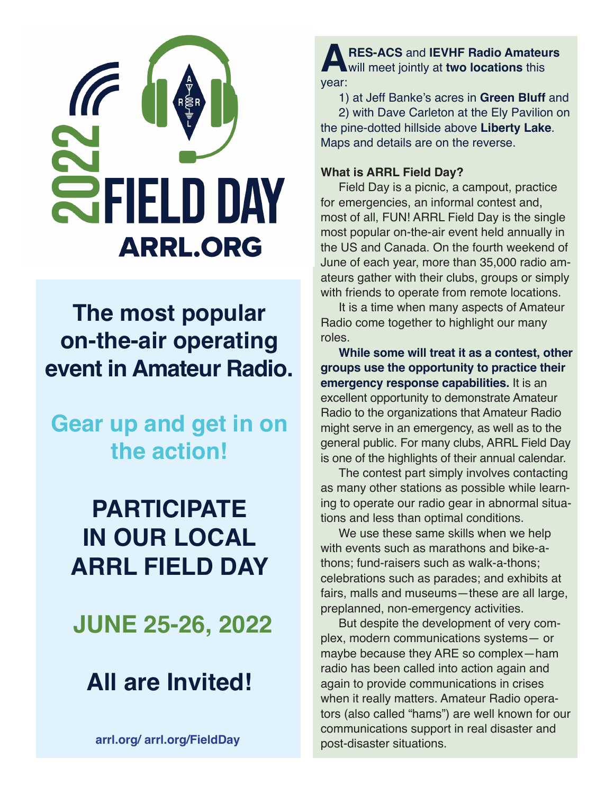

**The most popular on-the-air operating event in Amateur Radio.**

**Gear up and get in on the action!**

# **PARTICIPATE IN OUR LOCAL ARRL FIELD DAY**

**JUNE 25-26, 2022**

# **All are Invited!**

**arrl.org/ arrl.org/FieldDay**

**ARES-ACS** and **IEVHF Radio Amateurs**  will meet jointly at **two locations** this year:

1) at Jeff Banke's acres in **Green Bluff** and

2) with Dave Carleton at the Ely Pavilion on the pine-dotted hillside above **Liberty Lake**. Maps and details are on the reverse.

## **What is ARRL Field Day?**

Field Day is a picnic, a campout, practice for emergencies, an informal contest and, most of all, FUN! ARRL Field Day is the single most popular on-the-air event held annually in the US and Canada. On the fourth weekend of June of each year, more than 35,000 radio amateurs gather with their clubs, groups or simply with friends to operate from remote locations.

It is a time when many aspects of Amateur Radio come together to highlight our many roles.

**While some will treat it as a contest, other groups use the opportunity to practice their emergency response capabilities.** It is an excellent opportunity to demonstrate Amateur Radio to the organizations that Amateur Radio might serve in an emergency, as well as to the general public. For many clubs, ARRL Field Day is one of the highlights of their annual calendar.

The contest part simply involves contacting as many other stations as possible while learning to operate our radio gear in abnormal situations and less than optimal conditions.

We use these same skills when we help with events such as marathons and bike-athons; fund-raisers such as walk-a-thons; celebrations such as parades; and exhibits at fairs, malls and museums—these are all large, preplanned, non-emergency activities.

But despite the development of very complex, modern communications systems— or maybe because they ARE so complex—ham radio has been called into action again and again to provide communications in crises when it really matters. Amateur Radio operators (also called "hams") are well known for our communications support in real disaster and post-disaster situations.